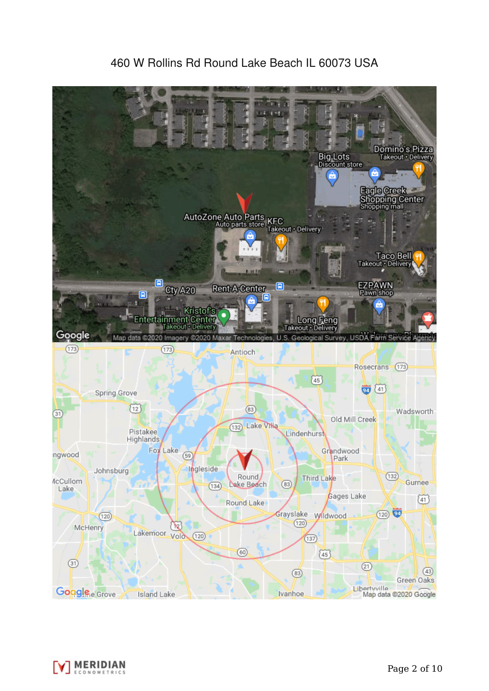

# 460 W Rollins Rd Round Lake Beach IL 60073 USA

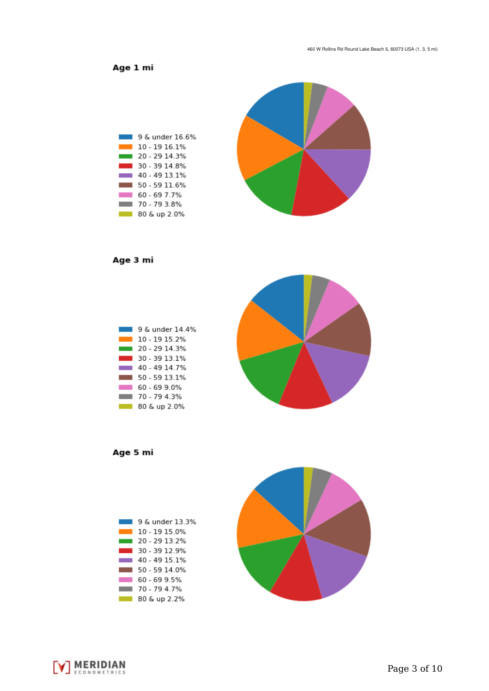Age 1 mi



Age 3 mi



Age 5 mi





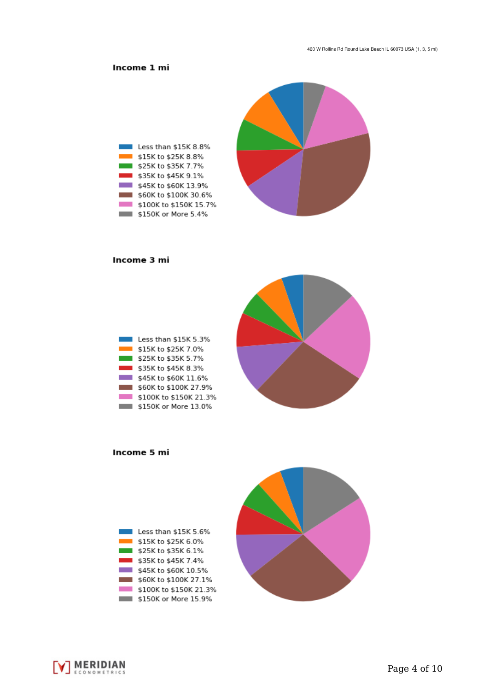## Income 1 mi



#### Income 3 mi

| Less than \$15K 5.3%   |
|------------------------|
| \$15K to \$25K 7.0%    |
| \$25K to \$35K 5.7%    |
| \$35K to \$45K 8.3%    |
| \$45K to \$60K 11.6%   |
| \$60K to \$100K 27.9%  |
| \$100K to \$150K 21.3% |
| \$150K or More 13.0%   |



Income 5 mi



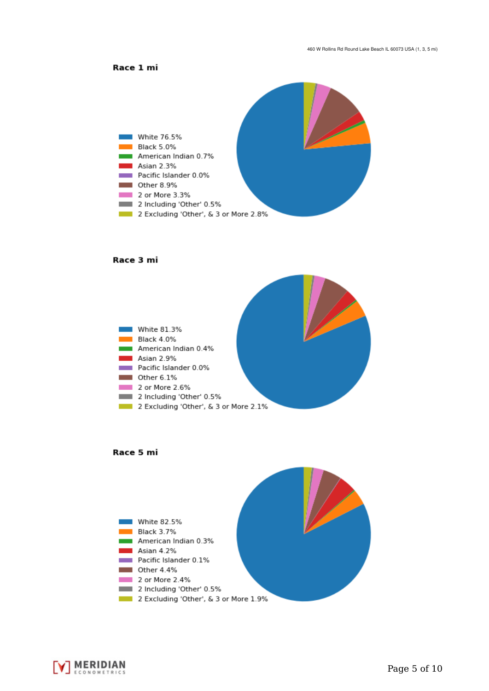



#### Race 3 mi







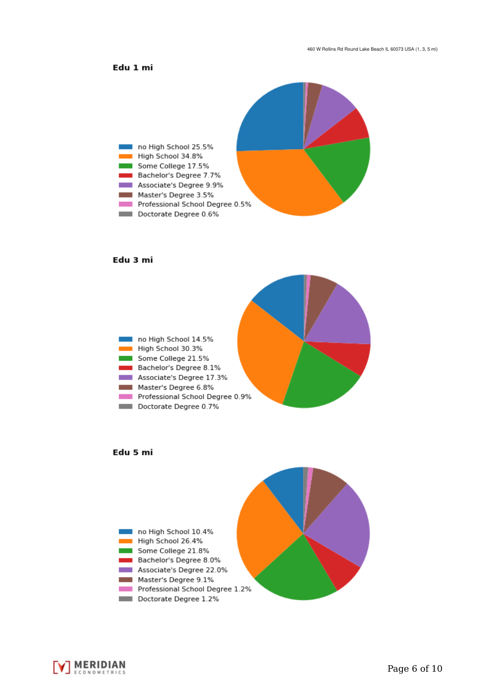### Edu 1 mi



#### Edu 3 mi







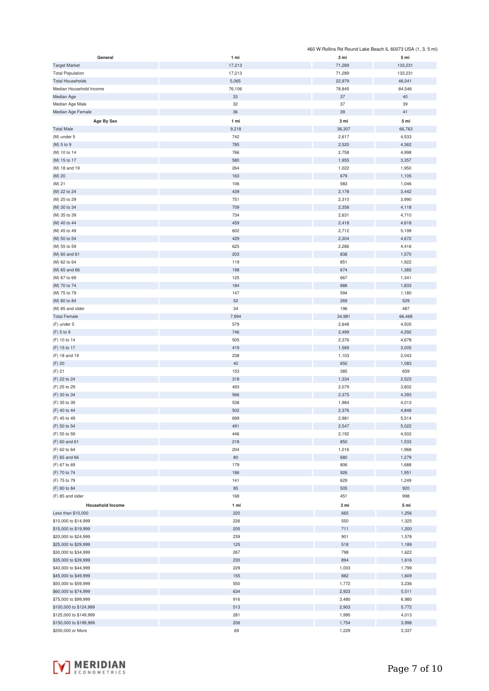|                         |        |        | 460 W Rollins Rd Round Lake Beach IL 60073 USA (1, 3, 5 mi) |
|-------------------------|--------|--------|-------------------------------------------------------------|
| General                 | 1 mi   | 3 mi   | 5 mi                                                        |
| <b>Target Market</b>    | 17,213 | 71,289 | 133,231                                                     |
| <b>Total Population</b> | 17,213 | 71,289 | 133,231                                                     |
| <b>Total Households</b> | 5,065  | 22,979 | 46,041                                                      |
|                         |        |        |                                                             |
| Median Household Income | 76,106 | 78,845 | 84,546                                                      |
| Median Age              | 33     | $37\,$ | 40                                                          |
| Median Age Male         | 32     | 37     | 39                                                          |
| Median Age Female       | 36     | 39     | 41                                                          |
| Age By Sex              | 1 mi   | 3 mi   | 5 mi                                                        |
| <b>Total Male</b>       |        |        |                                                             |
|                         | 9,218  | 36,307 | 66,763                                                      |
| (M) under 5             | 742    | 2,617  | 4,533                                                       |
| (M) 5 to 9              | 785    | 2,520  | 4,362                                                       |
| (M) 10 to 14            | 766    | 2,758  | 4,998                                                       |
| (M) 15 to 17            | 580    | 1,955  | 3,357                                                       |
| (M) 18 and 19           | 264    | 1,022  | 1,950                                                       |
|                         | 163    | 679    | 1,105                                                       |
| (M) 20                  |        |        |                                                             |
| (M) 21                  | 106    | 583    | 1,046                                                       |
| (M) 22 to 24            | 439    | 2,178  | 3,442                                                       |
| (M) 25 to 29            | 751    | 2,310  | 3,990                                                       |
| (M) 30 to 34            | 709    | 2,358  | 4,118                                                       |
| (M) 35 to 39            | 734    | 2,631  | 4,710                                                       |
| (M) 40 to 44            | 459    | 2,418  | 4,618                                                       |
|                         |        |        |                                                             |
| (M) 45 to 49            | 602    | 2,712  | 5,199                                                       |
| (M) 50 to 54            | 429    | 2,304  | 4,672                                                       |
| (M) 55 to 59            | 625    | 2,286  | 4,416                                                       |
| (M) 60 and 61           | 203    | 838    | 1,570                                                       |
| (M) 62 to 64            | 119    | 851    | 1,922                                                       |
| (M) 65 and 66           | 198    | 674    | 1,385                                                       |
| (M) 67 to 69            | 125    | 667    | 1,341                                                       |
|                         |        |        |                                                             |
| (M) 70 to 74            | 184    | 888    | 1,833                                                       |
| (M) 75 to 79            | 147    | 594    | 1,180                                                       |
| (M) 80 to 84            | 52     | 269    | 529                                                         |
| (M) 85 and older        | 34     | 196    | 487                                                         |
| <b>Total Female</b>     | 7,994  | 34,981 | 66,468                                                      |
| (F) under 5             | 579    | 2,648  | 4,505                                                       |
|                         |        |        |                                                             |
| (F) 5 to 9              | 746    | 2,499  | 4,292                                                       |
| (F) 10 to 14            | 505    | 2,376  | 4,678                                                       |
| (F) 15 to 17            | 419    | 1,589  | 3,005                                                       |
| (F) 18 and 19           | 238    | 1,103  | 2,043                                                       |
| (F) 20                  | 40     | 650    | 1,083                                                       |
| $(F)$ 21                | 153    | 385    | 659                                                         |
| (F) 22 to 24            | 318    | 1,334  | 2,523                                                       |
|                         |        |        |                                                             |
| (F) 25 to 29            | 493    | 2,079  | 3,802                                                       |
| (F) 30 to 34            | 566    | 2,375  | 4,393                                                       |
| (F) 35 to 39            | 538    | 1,984  | 4,013                                                       |
| (F) 40 to 44            | 502    | 2,376  | 4,848                                                       |
| (F) 45 to 49            | 699    | 2,981  | 5,514                                                       |
| (F) 50 to 54            | 491    | 2,547  | 5,022                                                       |
| (F) 55 to 59            | 446    | 2,192  | 4,502                                                       |
|                         |        |        |                                                             |
| (F) 60 and 61           | 218    | 850    | 1,533                                                       |
| (F) 62 to 64            | 204    | 1,016  | 1,968                                                       |
| (F) 65 and 66           | 80     | 680    | 1,279                                                       |
| (F) 67 to 69            | 179    | 806    | 1,688                                                       |
| (F) 70 to 74            | 186    | 926    | 1,951                                                       |
| (F) 75 to 79            | 141    | 629    | 1,249                                                       |
| (F) 80 to 84            | 85     | 505    | 920                                                         |
| (F) 85 and older        | 168    |        |                                                             |
|                         |        | 451    | 998                                                         |
| <b>Household Income</b> | 1 mi   | 3 mi   | 5 mi                                                        |
| Less than \$10,000      | 220    | 665    | 1,256                                                       |
| \$10,000 to \$14,999    | 226    | 550    | 1,325                                                       |
| \$15,000 to \$19,999    | 205    | 711    | 1,200                                                       |
| \$20,000 to \$24,999    | 239    | 901    | 1,578                                                       |
|                         |        |        |                                                             |
| \$25,000 to \$29,999    | 125    | 518    | 1,189                                                       |
| \$30,000 to \$34,999    | 267    | 798    | 1,622                                                       |
| \$35,000 to \$39,999    | 230    | 894    | 1,616                                                       |
| \$40,000 to \$44,999    | 229    | 1,003  | 1,799                                                       |
| \$45,000 to \$49,999    | 155    | 882    | 1,609                                                       |
| \$50,000 to \$59,999    | 550    | 1,772  | 3,236                                                       |
| \$60,000 to \$74,999    | 634    | 2,923  | 5,511                                                       |
|                         |        |        |                                                             |
| \$75,000 to \$99,999    | 916    | 3,480  | 6,980                                                       |
| \$100,000 to \$124,999  | 513    | 2,903  | 5,772                                                       |
| \$125,000 to \$149,999  | 281    | 1,995  | 4,013                                                       |
| \$150,000 to \$199,999  | 206    | 1,754  | 3,998                                                       |
| \$200,000 or More       | 69     | 1,229  | 3,337                                                       |

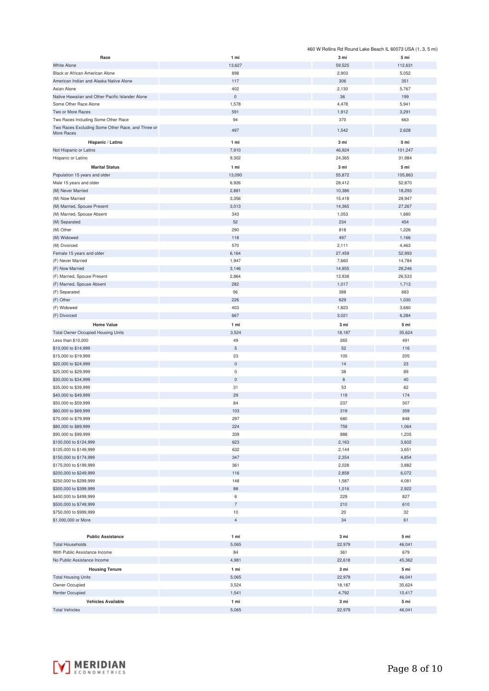|                                                                           |                      |                 | 460 W Rollins Rd Round Lake Beach IL 60073 USA (1, 3, 5 mi) |
|---------------------------------------------------------------------------|----------------------|-----------------|-------------------------------------------------------------|
| Race                                                                      | 1 mi                 | 3 mi            | 5 mi                                                        |
| White Alone                                                               | 13,627               | 59,525          | 112,631                                                     |
| Black or African American Alone                                           | 898                  | 2,903           | 5,052                                                       |
| American Indian and Alaska Native Alone                                   | 117                  | 306             | 351                                                         |
| Asian Alone                                                               | 402                  | 2,130           | 5,767                                                       |
| Native Hawaiian and Other Pacific Islander Alone<br>Some Other Race Alone | $\mathbf 0$<br>1,578 | 36<br>4,478     | 199<br>5,941                                                |
| Two or More Races                                                         | 591                  | 1,912           | 3,291                                                       |
| Two Races Including Some Other Race                                       | 94                   | 370             | 663                                                         |
| Two Races Excluding Some Other Race, and Three or                         |                      |                 |                                                             |
| More Races                                                                | 497                  | 1,542           | 2,628                                                       |
| Hispanic / Latino                                                         | 1 mi                 | 3 mi            | 5 mi                                                        |
| Not Hispanic or Latino                                                    | 7,910                | 46,924          | 101,247                                                     |
| Hispanic or Latino                                                        | 9,302                | 24,365          | 31,984                                                      |
| <b>Marital Status</b>                                                     | 1 mi                 | 3 mi            | 5 mi                                                        |
| Population 15 years and older                                             | 13,090               | 55,872          | 105,863                                                     |
| Male 15 years and older                                                   | 6,926                | 28,412          | 52,870                                                      |
| (M) Never Married                                                         | 2,881                | 10,386          | 18,293                                                      |
| (M) Now Married                                                           | 3,356                | 15,418          | 28,947                                                      |
| (M) Married, Spouse Present<br>(M) Married, Spouse Absent                 | 3,013<br>343         | 14,365<br>1,053 | 27,267<br>1,680                                             |
| (M) Separated                                                             | 52                   | 234             | 454                                                         |
| (M) Other                                                                 | 290                  | 818             | 1,226                                                       |
| (M) Widowed                                                               | 118                  | 497             | 1,166                                                       |
| (M) Divorced                                                              | 570                  | 2,111           | 4,463                                                       |
| Female 15 years and older                                                 | 6,164                | 27,459          | 52,993                                                      |
| (F) Never Married                                                         | 1,947                | 7,660           | 14,784                                                      |
| (F) Now Married                                                           | 3,146                | 14,955          | 28,246                                                      |
| (F) Married, Spouse Present                                               | 2,864                | 13,938          | 26,533                                                      |
| (F) Married, Spouse Absent                                                | 282                  | 1,017           | 1,713                                                       |
| (F) Separated                                                             | 56                   | 388             | 683                                                         |
| (F) Other                                                                 | 226                  | 629             | 1,030                                                       |
| (F) Widowed                                                               | 403                  | 1,823           | 3,680                                                       |
| (F) Divorced                                                              | 667                  | 3,021           | 6,284                                                       |
| <b>Home Value</b>                                                         | 1 mi                 | 3 mi            | 5 mi                                                        |
| <b>Total Owner Occupied Housing Units</b>                                 | 3,524                | 18,187          | 35,624                                                      |
| Less than \$10,000                                                        | 49                   | 265             | 491                                                         |
| \$10,000 to \$14,999                                                      | $\sqrt{5}$           | 52              | 116                                                         |
| \$15,000 to \$19,999                                                      | 23                   | 105             | 205                                                         |
| \$20,000 to \$24,999                                                      | $\mathsf 0$          | 14              | 23                                                          |
| \$25,000 to \$29,999                                                      | $\mathsf 0$          | 38              | 89                                                          |
| \$30,000 to \$34,999                                                      | $\mathsf 0$          | $\,$ 8 $\,$     | 40                                                          |
| \$35,000 to \$39,999                                                      | 31                   | 53              | 62                                                          |
| \$40,000 to \$49,999                                                      | 29                   | 119             | 174                                                         |
| \$50,000 to \$59,999                                                      | 84                   | 237             | 307                                                         |
| \$60,000 to \$69,999<br>\$70,000 to \$79,999                              | 103                  | 319             | 359                                                         |
| \$80,000 to \$89,999                                                      | 297<br>224           | 680<br>759      | 848<br>1,064                                                |
| \$90,000 to \$99,999                                                      | 339                  | 888             | 1,205                                                       |
| \$100,000 to \$124,999                                                    | 623                  | 2,163           | 3,602                                                       |
| \$125,000 to \$149,999                                                    | 632                  | 2,144           | 3,651                                                       |
| \$150,000 to \$174,999                                                    | 347                  | 2,354           | 4,854                                                       |
| \$175,000 to \$199,999                                                    | 361                  | 2,028           | 3,882                                                       |
| \$200,000 to \$249,999                                                    | 116                  | 2,858           | 6,072                                                       |
| \$250,000 to \$299,999                                                    | 148                  | 1,587           | 4,081                                                       |
| \$300,000 to \$399,999                                                    | 88                   | 1,016           | 2,922                                                       |
| \$400,000 to \$499,999                                                    | 6                    | 229             | 827                                                         |
| \$500,000 to \$749,999                                                    | $\overline{7}$       | 210             | 610                                                         |
| \$750,000 to \$999,999                                                    | 10                   | 20              | 32                                                          |
| \$1,000,000 or More                                                       | $\overline{4}$       | 34              | 61                                                          |
|                                                                           |                      |                 |                                                             |
| <b>Public Assistance</b>                                                  | 1 mi                 | 3 mi            | 5 mi                                                        |
| <b>Total Households</b>                                                   | 5,065                | 22,979          | 46,041                                                      |
| With Public Assistance Income                                             | 84                   | 361             | 679                                                         |
| No Public Assistance Income                                               | 4,981                | 22,618          | 45,362                                                      |
| <b>Housing Tenure</b>                                                     | 1 mi                 | 3 mi            | 5 mi                                                        |
| <b>Total Housing Units</b>                                                | 5,065                | 22,979          | 46,041                                                      |
| Owner Occupied                                                            | 3,524                | 18,187          | 35,624                                                      |
| Renter Occupied                                                           | 1,541                | 4,792           | 10,417                                                      |
| <b>Vehicles Available</b>                                                 | 1 mi                 | 3 mi            | 5 mi                                                        |
| <b>Total Vehicles</b>                                                     | 5,065                | 22,979          | 46,041                                                      |

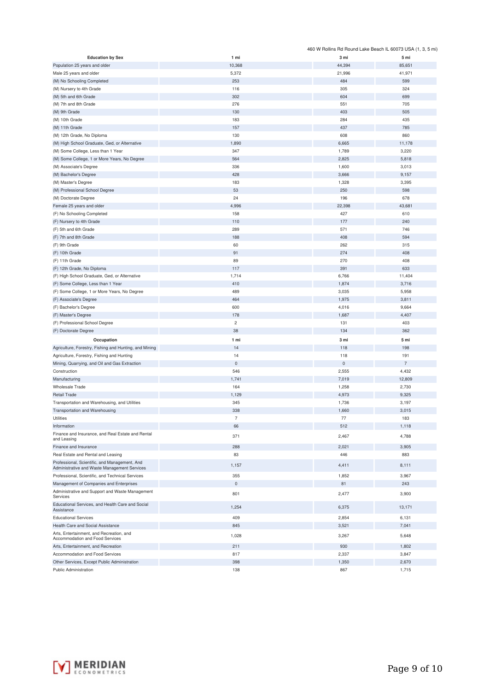|                                                                                               |                |                     | 460 W Rollins Rd Round Lake Beach IL 60073 USA (1, 3, 5 mi) |
|-----------------------------------------------------------------------------------------------|----------------|---------------------|-------------------------------------------------------------|
| <b>Education by Sex</b>                                                                       | 1 mi           | 3 mi                | 5 mi                                                        |
| Population 25 years and older                                                                 | 10,368         | 44,394              | 85,651                                                      |
| Male 25 years and older                                                                       | 5,372          | 21,996              | 41,971                                                      |
| (M) No Schooling Completed                                                                    | 253            | 484                 | 599                                                         |
| (M) Nursery to 4th Grade                                                                      | 116            | 305                 | 324                                                         |
| (M) 5th and 6th Grade                                                                         | 302            | 604                 | 699                                                         |
| (M) 7th and 8th Grade                                                                         | 276            | 551                 | 705                                                         |
| (M) 9th Grade                                                                                 | 130            | 403                 | 505                                                         |
| (M) 10th Grade                                                                                | 183            | 284                 | 435                                                         |
| (M) 11th Grade                                                                                | 157            | 437                 | 785                                                         |
|                                                                                               |                |                     |                                                             |
| (M) 12th Grade, No Diploma                                                                    | 130            | 608                 | 860                                                         |
| (M) High School Graduate, Ged, or Alternative                                                 | 1,890          | 6,665               | 11,178                                                      |
| (M) Some College, Less than 1 Year                                                            | 347            | 1,789               | 3,220                                                       |
| (M) Some College, 1 or More Years, No Degree                                                  | 564            | 2,825               | 5,818                                                       |
| (M) Associate's Degree                                                                        | 336            | 1,600               | 3,013                                                       |
| (M) Bachelor's Degree                                                                         | 428            | 3,666               | 9,157                                                       |
| (M) Master's Degree                                                                           | 183            | 1,328               | 3,395                                                       |
| (M) Professional School Degree                                                                | 53             | 250                 | 598                                                         |
| (M) Doctorate Degree                                                                          | 24             | 196                 | 678                                                         |
| Female 25 years and older                                                                     | 4,996          | 22,398              | 43,681                                                      |
| (F) No Schooling Completed                                                                    | 158            | 427                 | 610                                                         |
| (F) Nursery to 4th Grade                                                                      | 110            | 177                 | 240                                                         |
| (F) 5th and 6th Grade                                                                         | 289            | 571                 | 746                                                         |
|                                                                                               |                |                     |                                                             |
| (F) 7th and 8th Grade                                                                         | 188            | 408                 | 594                                                         |
| (F) 9th Grade                                                                                 | 60             | 262                 | 315                                                         |
| (F) 10th Grade                                                                                | 91             | 274                 | 408                                                         |
| (F) 11th Grade                                                                                | 89             | 270                 | 408                                                         |
| (F) 12th Grade, No Diploma                                                                    | 117            | 391                 | 633                                                         |
| (F) High School Graduate, Ged, or Alternative                                                 | 1,714          | 6,766               | 11,404                                                      |
| (F) Some College, Less than 1 Year                                                            | 410            | 1,874               | 3,716                                                       |
| (F) Some College, 1 or More Years, No Degree                                                  | 489            | 3,035               | 5,958                                                       |
| (F) Associate's Degree                                                                        | 464            | 1,975               | 3,811                                                       |
| (F) Bachelor's Degree                                                                         | 600            | 4,016               | 9,664                                                       |
| (F) Master's Degree                                                                           | 178            | 1,687               | 4,407                                                       |
| (F) Professional School Degree                                                                | $\overline{c}$ | 131                 | 403                                                         |
| (F) Doctorate Degree                                                                          | 38             | 134                 | 362                                                         |
|                                                                                               |                |                     |                                                             |
| Occupation                                                                                    | 1 mi           | 3 mi                | 5 mi                                                        |
| Agriculture, Forestry, Fishing and Hunting, and Mining                                        | 14             | 118                 | 198                                                         |
| Agriculture, Forestry, Fishing and Hunting                                                    | 14             | 118                 | 191                                                         |
| Mining, Quarrying, and Oil and Gas Extraction                                                 | $\mathsf 0$    | $\mathsf{O}\xspace$ | $\overline{7}$                                              |
| Construction                                                                                  | 546            | 2,555               | 4,432                                                       |
| Manufacturing                                                                                 | 1,741          | 7,019               | 12,809                                                      |
| Wholesale Trade                                                                               | 164            | 1,258               | 2,730                                                       |
| <b>Retail Trade</b>                                                                           | 1,129          | 4,973               | 9,325                                                       |
| Transportation and Warehousing, and Utilities                                                 | 345            | 1,736               | 3,197                                                       |
| Transportation and Warehousing                                                                | 338            | 1,660               | 3,015                                                       |
|                                                                                               |                |                     |                                                             |
| Utilities                                                                                     |                | 77                  | 183                                                         |
| Information                                                                                   | 66             | 512                 | 1,118                                                       |
| Finance and Insurance, and Real Estate and Rental<br>and Leasing                              | 371            | 2,467               | 4,788                                                       |
| Finance and Insurance                                                                         | 288            | 2,021               | 3,905                                                       |
| Real Estate and Rental and Leasing                                                            | 83             | 446                 |                                                             |
|                                                                                               |                |                     | 883                                                         |
| Professional, Scientific, and Management, And<br>Administrative and Waste Management Services | 1,157          | 4,411               | 8,111                                                       |
| Professional, Scientific, and Technical Services                                              | 355            | 1,852               | 3,967                                                       |
|                                                                                               | $\mathbf 0$    | 81                  |                                                             |
| Management of Companies and Enterprises                                                       |                |                     | 243                                                         |
| Administrative and Support and Waste Management<br>Services                                   | 801            | 2,477               | 3,900                                                       |
| Educational Services, and Health Care and Social<br>Assistance                                | 1,254          | 6,375               | 13,171                                                      |
| <b>Educational Services</b>                                                                   | 409            | 2,854               | 6,131                                                       |
| Health Care and Social Assistance                                                             | 845            | 3,521               | 7,041                                                       |
|                                                                                               |                |                     |                                                             |
| Arts, Entertainment, and Recreation, and<br>Accommodation and Food Services                   | 1,028          | 3,267               | 5,648                                                       |
| Arts, Entertainment, and Recreation                                                           | 211            | 930                 | 1,802                                                       |
| Accommodation and Food Services                                                               | 817            | 2,337               | 3,847                                                       |
| Other Services, Except Public Administration                                                  | 398            | 1,350               | 2,670                                                       |
| Public Administration                                                                         | 138            | 867                 | 1,715                                                       |